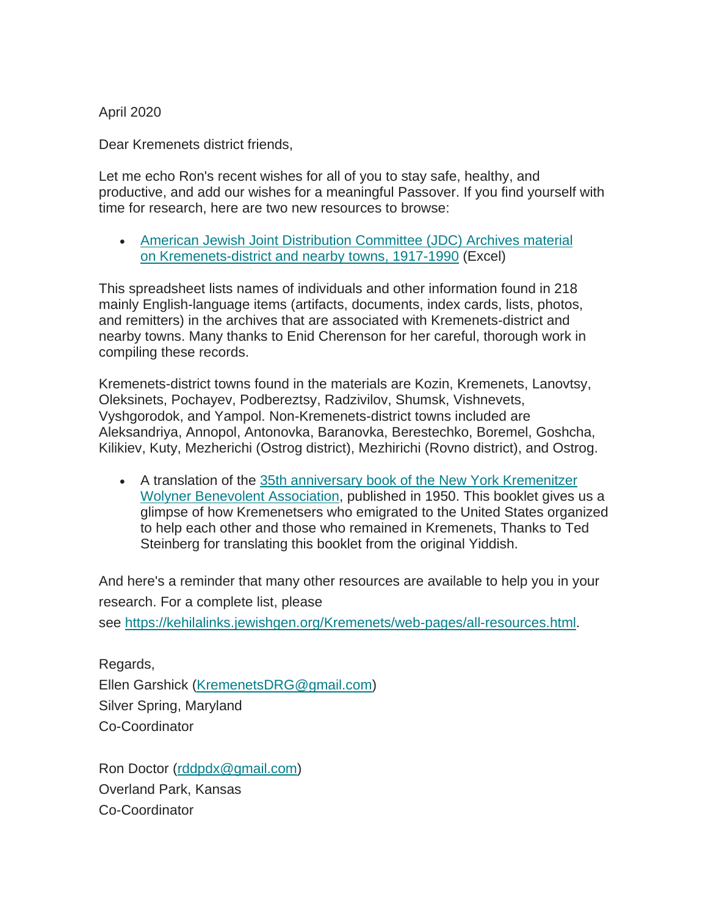April 2020

Dear Kremenets district friends,

Let me echo Ron's recent wishes for all of you to stay safe, healthy, and productive, and add our wishes for a meaningful Passover. If you find yourself with time for research, here are two new resources to browse:

• [American Jewish Joint Distribution Committee \(JDC\) Archives](http://www.kehilalinks.jewishgen.org/Kremenets/web-pages/documents/JDC/JDC-Archives-Items-Associated-with-Kremenets-District-Nearby-Towns-1917-1990.xlsx) material on [Kremenets-district and nearby towns,](http://www.kehilalinks.jewishgen.org/Kremenets/web-pages/documents/JDC/JDC-Archives-Items-Associated-with-Kremenets-District-Nearby-Towns-1917-1990.xlsx) 1917-1990 (Excel)

This spreadsheet lists names of individuals and other information found in 218 mainly English-language items (artifacts, documents, index cards, lists, photos, and remitters) in the archives that are associated with Kremenets-district and nearby towns. Many thanks to Enid Cherenson for her careful, thorough work in compiling these records.

Kremenets-district towns found in the materials are Kozin, Kremenets, Lanovtsy, Oleksinets, Pochayev, Podbereztsy, Radzivilov, Shumsk, Vishnevets, Vyshgorodok, and Yampol. Non-Kremenets-district towns included are Aleksandriya, Annopol, Antonovka, Baranovka, Berestechko, Boremel, Goshcha, Kilikiev, Kuty, Mezherichi (Ostrog district), Mezhirichi (Rovno district), and Ostrog.

• A translation of the [35th anniversary book of the New York Kremenitzer](https://www.jewishgen.org/Yizkor/kremenets5/kremenets5.html)  [Wolyner Benevolent Association,](https://www.jewishgen.org/Yizkor/kremenets5/kremenets5.html) published in 1950. This booklet gives us a glimpse of how Kremenetsers who emigrated to the United States organized to help each other and those who remained in Kremenets, Thanks to Ted Steinberg for translating this booklet from the original Yiddish.

And here's a reminder that many other resources are available to help you in your research. For a complete list, please see [https://kehilalinks.jewishgen.org/Kremenets/web-pages/all-resources.html.](https://kehilalinks.jewishgen.org/Kremenets/web-pages/all-resources.html)

Regards, Ellen Garshick [\(KremenetsDRG@gmail.com\)](mailto:KremenetsDRG@gmail.com) Silver Spring, Maryland Co-Coordinator

Ron Doctor [\(rddpdx@gmail.com\)](mailto:rddpdx@gmail.com) Overland Park, Kansas Co-Coordinator